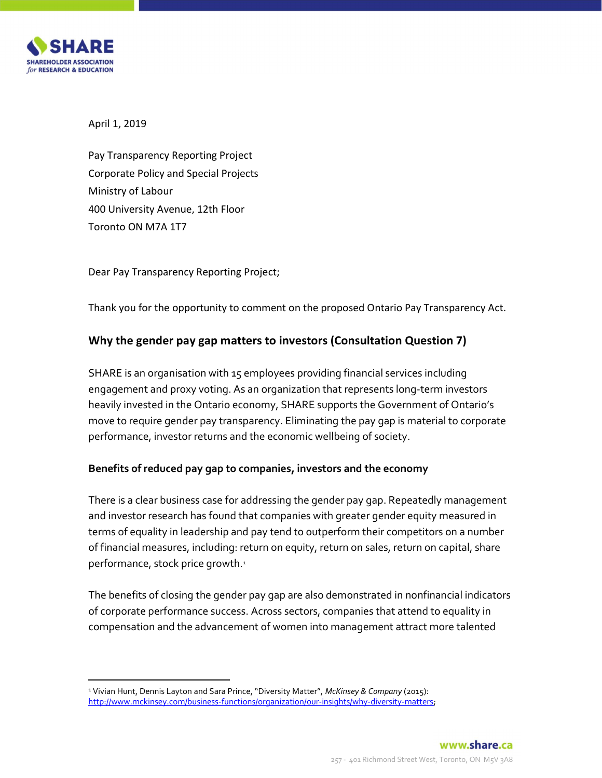

April 1, 2019

Pay Transparency Reporting Project Corporate Policy and Special Projects Ministry of Labour 400 University Avenue, 12th Floor Toronto ON M7A 1T7

Dear Pay Transparency Reporting Project;

Thank you for the opportunity to comment on the proposed Ontario Pay Transparency Act.

# Why the gender pay gap matters to investors (Consultation Question 7)

SHARE is an organisation with 15 employees providing financial services including engagement and proxy voting. As an organization that represents long-term investors heavily invested in the Ontario economy, SHARE supports the Government of Ontario's move to require gender pay transparency. Eliminating the pay gap is material to corporate performance, investor returns and the economic wellbeing of society.

# Benefits of reduced pay gap to companies, investors and the economy

There is a clear business case for addressing the gender pay gap. Repeatedly management and investor research has found that companies with greater gender equity measured in terms of equality in leadership and pay tend to outperform their competitors on a number of financial measures, including: return on equity, return on sales, return on capital, share performance, stock price growth.<sup>1</sup>

The benefits of closing the gender pay gap are also demonstrated in nonfinancial indicators of corporate performance success. Across sectors, companies that attend to equality in compensation and the advancement of women into management attract more talented

<sup>&</sup>lt;sup>1</sup> Vivian Hunt, Dennis Layton and Sara Prince, "Diversity Matter", McKinsey & Company (2015): http://www.mckinsey.com/business-functions/organization/our-insights/why-diversity-matters;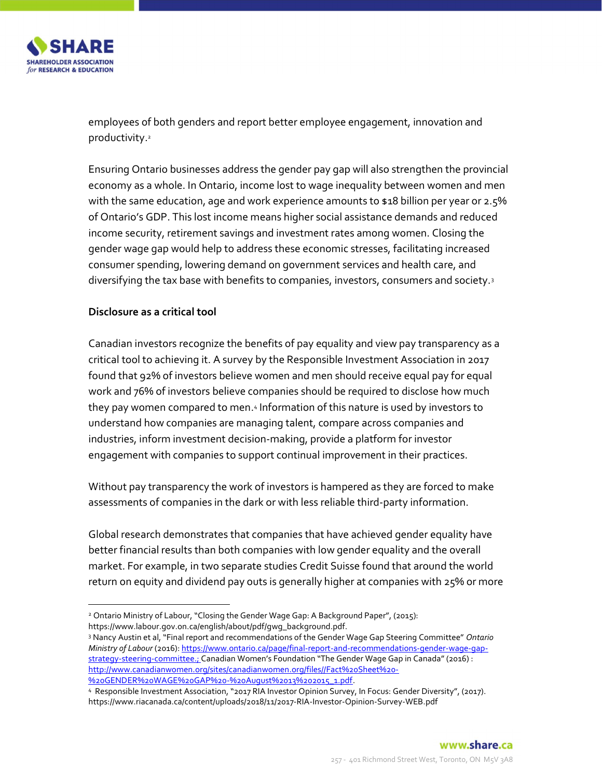

employees of both genders and report better employee engagement, innovation and productivity.<sup>2</sup>

Ensuring Ontario businesses address the gender pay gap will also strengthen the provincial economy as a whole. In Ontario, income lost to wage inequality between women and men with the same education, age and work experience amounts to \$18 billion per year or 2.5% of Ontario's GDP. This lost income means higher social assistance demands and reduced income security, retirement savings and investment rates among women. Closing the gender wage gap would help to address these economic stresses, facilitating increased consumer spending, lowering demand on government services and health care, and diversifying the tax base with benefits to companies, investors, consumers and society.<sup>3</sup>

#### Disclosure as a critical tool

Canadian investors recognize the benefits of pay equality and view pay transparency as a critical tool to achieving it. A survey by the Responsible Investment Association in 2017 found that 92% of investors believe women and men should receive equal pay for equal work and 76% of investors believe companies should be required to disclose how much they pay women compared to men.4 Information of this nature is used by investors to understand how companies are managing talent, compare across companies and industries, inform investment decision-making, provide a platform for investor engagement with companies to support continual improvement in their practices.

Without pay transparency the work of investors is hampered as they are forced to make assessments of companies in the dark or with less reliable third-party information.

Global research demonstrates that companies that have achieved gender equality have better financial results than both companies with low gender equality and the overall market. For example, in two separate studies Credit Suisse found that around the world return on equity and dividend pay outs is generally higher at companies with 25% or more

 2 Ontario Ministry of Labour, "Closing the Gender Wage Gap: A Background Paper", (2015): https://www.labour.gov.on.ca/english/about/pdf/gwg\_background.pdf.

<sup>&</sup>lt;sup>3</sup> Nancy Austin et al, "Final report and recommendations of the Gender Wage Gap Steering Committee" Ontario Ministry of Labour (2016): https://www.ontario.ca/page/final-report-and-recommendations-gender-wage-gapstrategy-steering-committee.; Canadian Women's Foundation "The Gender Wage Gap in Canada" (2016) : http://www.canadianwomen.org/sites/canadianwomen.org/files//Fact%20Sheet%20- %20GENDER%20WAGE%20GAP%20-%20August%2013%202015\_1.pdf.

<sup>4</sup> Responsible Investment Association, "2017 RIA Investor Opinion Survey, In Focus: Gender Diversity", (2017). https://www.riacanada.ca/content/uploads/2018/11/2017-RIA-Investor-Opinion-Survey-WEB.pdf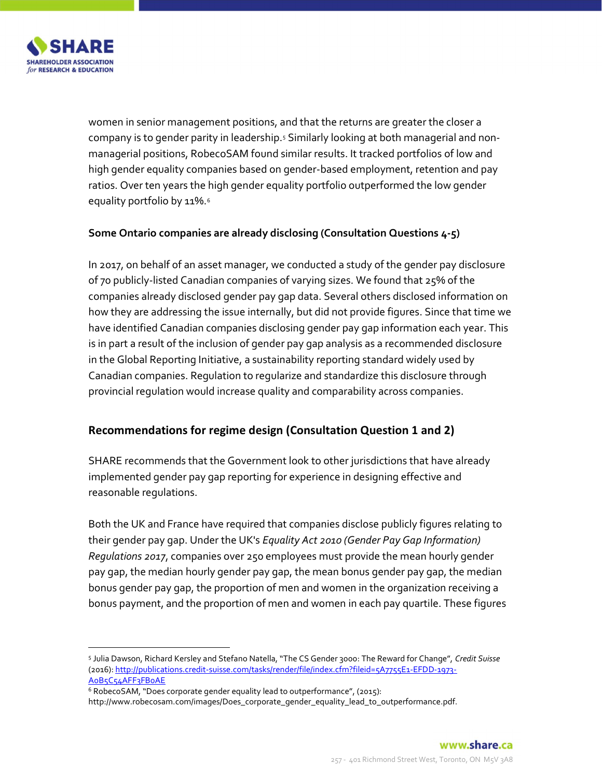

women in senior management positions, and that the returns are greater the closer a company is to gender parity in leadership.s Similarly looking at both managerial and nonmanagerial positions, RobecoSAM found similar results. It tracked portfolios of low and high gender equality companies based on gender-based employment, retention and pay ratios. Over ten years the high gender equality portfolio outperformed the low gender equality portfolio by 11%.<sup>6</sup>

#### Some Ontario companies are already disclosing (Consultation Questions 4-5)

In 2017, on behalf of an asset manager, we conducted a study of the gender pay disclosure of 70 publicly-listed Canadian companies of varying sizes. We found that 25% of the companies already disclosed gender pay gap data. Several others disclosed information on how they are addressing the issue internally, but did not provide figures. Since that time we have identified Canadian companies disclosing gender pay gap information each year. This is in part a result of the inclusion of gender pay gap analysis as a recommended disclosure in the Global Reporting Initiative, a sustainability reporting standard widely used by Canadian companies. Regulation to regularize and standardize this disclosure through provincial regulation would increase quality and comparability across companies.

# Recommendations for regime design (Consultation Question 1 and 2)

SHARE recommends that the Government look to other jurisdictions that have already implemented gender pay gap reporting for experience in designing effective and reasonable regulations.

Both the UK and France have required that companies disclose publicly figures relating to their gender pay gap. Under the UK's Equality Act 2010 (Gender Pay Gap Information) Regulations 2017, companies over 250 employees must provide the mean hourly gender pay gap, the median hourly gender pay gap, the mean bonus gender pay gap, the median bonus gender pay gap, the proportion of men and women in the organization receiving a bonus payment, and the proportion of men and women in each pay quartile. These figures

<sup>5</sup> Julia Dawson, Richard Kersley and Stefano Natella, "The CS Gender 3000: The Reward for Change", Credit Suisse (2016): http://publications.credit-suisse.com/tasks/render/file/index.cfm?fileid=5A7755E1-EFDD-1973- A0B5C54AFF3FB0AE

<sup>&</sup>lt;sup>6</sup> RobecoSAM, "Does corporate gender equality lead to outperformance", (2015):

http://www.robecosam.com/images/Does\_corporate\_gender\_equality\_lead\_to\_outperformance.pdf.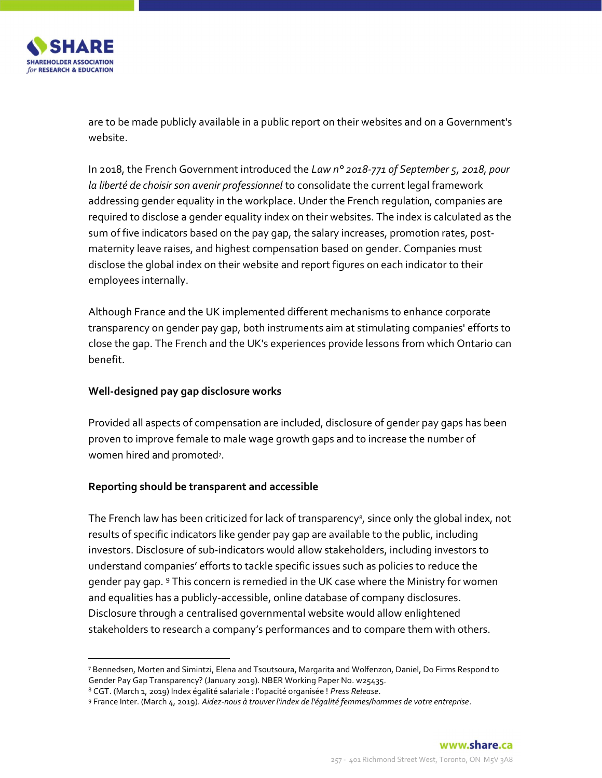

 $\overline{a}$ 

are to be made publicly available in a public report on their websites and on a Government's website.

In 2018, the French Government introduced the Law n° 2018-771 of September 5, 2018, pour la liberté de choisir son avenir professionnel to consolidate the current legal framework addressing gender equality in the workplace. Under the French regulation, companies are required to disclose a gender equality index on their websites. The index is calculated as the sum of five indicators based on the pay gap, the salary increases, promotion rates, postmaternity leave raises, and highest compensation based on gender. Companies must disclose the global index on their website and report figures on each indicator to their employees internally.

Although France and the UK implemented different mechanisms to enhance corporate transparency on gender pay gap, both instruments aim at stimulating companies' efforts to close the gap. The French and the UK's experiences provide lessons from which Ontario can benefit.

### Well-designed pay gap disclosure works

Provided all aspects of compensation are included, disclosure of gender pay gaps has been proven to improve female to male wage growth gaps and to increase the number of women hired and promoted<sup>7</sup>.

# Reporting should be transparent and accessible

The French law has been criticized for lack of transparency<sup>8</sup>, since only the global index, not results of specific indicators like gender pay gap are available to the public, including investors. Disclosure of sub-indicators would allow stakeholders, including investors to understand companies' efforts to tackle specific issues such as policies to reduce the gender pay gap. <sup>9</sup> This concern is remedied in the UK case where the Ministry for women and equalities has a publicly-accessible, online database of company disclosures. Disclosure through a centralised governmental website would allow enlightened stakeholders to research a company's performances and to compare them with others.

<sup>7</sup> Bennedsen, Morten and Simintzi, Elena and Tsoutsoura, Margarita and Wolfenzon, Daniel, Do Firms Respond to Gender Pay Gap Transparency? (January 2019). NBER Working Paper No. w25435.

<sup>&</sup>lt;sup>8</sup> CGT. (March 1, 2019) Index égalité salariale : l'opacité organisée ! Press Release.

<sup>9</sup> France Inter. (March 4, 2019). Aidez-nous à trouver l'index de l'égalité femmes/hommes de votre entreprise.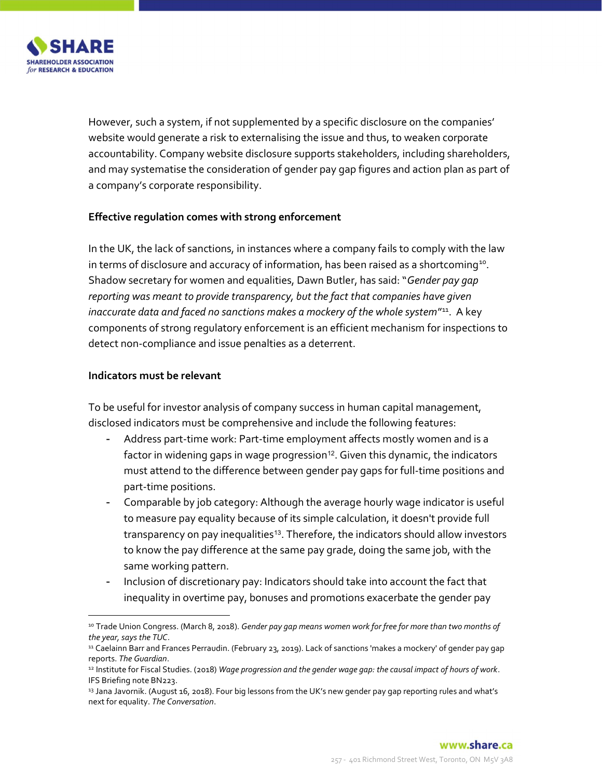

However, such a system, if not supplemented by a specific disclosure on the companies' website would generate a risk to externalising the issue and thus, to weaken corporate accountability. Company website disclosure supports stakeholders, including shareholders, and may systematise the consideration of gender pay gap figures and action plan as part of a company's corporate responsibility.

#### Effective regulation comes with strong enforcement

In the UK, the lack of sanctions, in instances where a company fails to comply with the law in terms of disclosure and accuracy of information, has been raised as a shortcoming<sup>10</sup>. Shadow secretary for women and equalities, Dawn Butler, has said: "Gender pay gap reporting was meant to provide transparency, but the fact that companies have given inaccurate data and faced no sanctions makes a mockery of the whole system"<sup>11</sup>. A key components of strong regulatory enforcement is an efficient mechanism for inspections to detect non-compliance and issue penalties as a deterrent.

#### Indicators must be relevant

 $\overline{a}$ 

To be useful for investor analysis of company success in human capital management, disclosed indicators must be comprehensive and include the following features:

- Address part-time work: Part-time employment affects mostly women and is a factor in widening gaps in wage progression<sup>12</sup>. Given this dynamic, the indicators must attend to the difference between gender pay gaps for full-time positions and part-time positions.
- Comparable by job category: Although the average hourly wage indicator is useful to measure pay equality because of its simple calculation, it doesn't provide full transparency on pay inequalities<sup>13</sup>. Therefore, the indicators should allow investors to know the pay difference at the same pay grade, doing the same job, with the same working pattern.
- Inclusion of discretionary pay: Indicators should take into account the fact that inequality in overtime pay, bonuses and promotions exacerbate the gender pay

<sup>&</sup>lt;sup>10</sup> Trade Union Congress. (March 8, 2018). Gender pay gap means women work for free for more than two months of the year, says the TUC.

<sup>&</sup>lt;sup>11</sup> Caelainn Barr and Frances Perraudin. (February 23, 2019). Lack of sanctions 'makes a mockery' of gender pay gap reports. The Guardian.

<sup>12</sup> Institute for Fiscal Studies. (2018) Wage progression and the gender wage gap: the causal impact of hours of work. IFS Briefing note BN223.

<sup>13</sup> Jana Javornik. (August 16, 2018). Four big lessons from the UK's new gender pay gap reporting rules and what's next for equality. The Conversation.